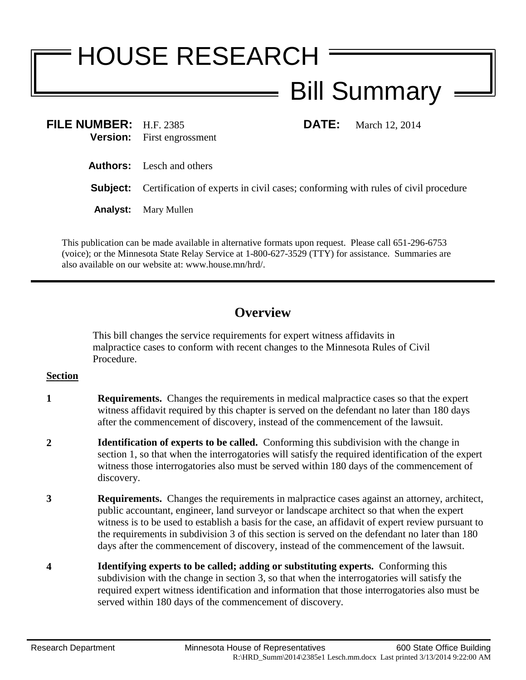## HOUSE RESEARCH Bill Summary

**FILE NUMBER:** H.F. 2385 **DATE:** March 12, 2014 **Version:** First engrossment

**Authors:** Lesch and others

**Subject:** Certification of experts in civil cases; conforming with rules of civil procedure

**Analyst:** Mary Mullen

This publication can be made available in alternative formats upon request. Please call 651-296-6753 (voice); or the Minnesota State Relay Service at 1-800-627-3529 (TTY) for assistance. Summaries are also available on our website at: www.house.mn/hrd/.

## **Overview**

This bill changes the service requirements for expert witness affidavits in malpractice cases to conform with recent changes to the Minnesota Rules of Civil Procedure.

## **Section**

- **1 Requirements.** Changes the requirements in medical malpractice cases so that the expert witness affidavit required by this chapter is served on the defendant no later than 180 days after the commencement of discovery, instead of the commencement of the lawsuit.
- **2 Identification of experts to be called.** Conforming this subdivision with the change in section 1, so that when the interrogatories will satisfy the required identification of the expert witness those interrogatories also must be served within 180 days of the commencement of discovery.
- **3 Requirements.** Changes the requirements in malpractice cases against an attorney, architect, public accountant, engineer, land surveyor or landscape architect so that when the expert witness is to be used to establish a basis for the case, an affidavit of expert review pursuant to the requirements in subdivision 3 of this section is served on the defendant no later than 180 days after the commencement of discovery, instead of the commencement of the lawsuit.
- **4 Identifying experts to be called; adding or substituting experts.** Conforming this subdivision with the change in section 3, so that when the interrogatories will satisfy the required expert witness identification and information that those interrogatories also must be served within 180 days of the commencement of discovery.